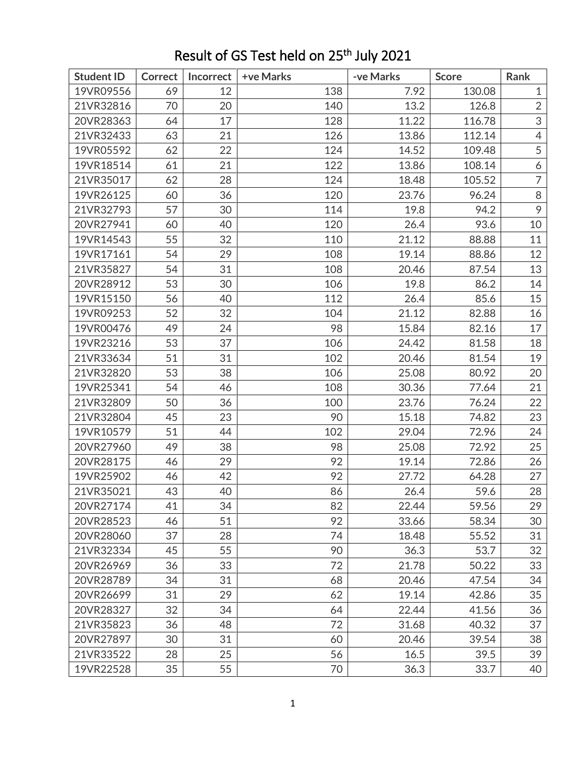| <b>Student ID</b> | <b>Correct</b> | Incorrect | +ve Marks | -ve Marks | <b>Score</b> | Rank           |
|-------------------|----------------|-----------|-----------|-----------|--------------|----------------|
| 19VR09556         | 69             | 12        | 138       | 7.92      | 130.08       | $\mathbf{1}$   |
| 21VR32816         | 70             | 20        | 140       | 13.2      | 126.8        | $\overline{2}$ |
| 20VR28363         | 64             | 17        | 128       | 11.22     | 116.78       | 3              |
| 21VR32433         | 63             | 21        | 126       | 13.86     | 112.14       | $\overline{4}$ |
| 19VR05592         | 62             | 22        | 124       | 14.52     | 109.48       | 5              |
| 19VR18514         | 61             | 21        | 122       | 13.86     | 108.14       | 6              |
| 21VR35017         | 62             | 28        | 124       | 18.48     | 105.52       | $\overline{7}$ |
| 19VR26125         | 60             | 36        | 120       | 23.76     | 96.24        | 8              |
| 21VR32793         | 57             | 30        | 114       | 19.8      | 94.2         | 9              |
| 20VR27941         | 60             | 40        | 120       | 26.4      | 93.6         | 10             |
| 19VR14543         | 55             | 32        | 110       | 21.12     | 88.88        | 11             |
| 19VR17161         | 54             | 29        | 108       | 19.14     | 88.86        | 12             |
| 21VR35827         | 54             | 31        | 108       | 20.46     | 87.54        | 13             |
| 20VR28912         | 53             | 30        | 106       | 19.8      | 86.2         | 14             |
| 19VR15150         | 56             | 40        | 112       | 26.4      | 85.6         | 15             |
| 19VR09253         | 52             | 32        | 104       | 21.12     | 82.88        | 16             |
| 19VR00476         | 49             | 24        | 98        | 15.84     | 82.16        | 17             |
| 19VR23216         | 53             | 37        | 106       | 24.42     | 81.58        | 18             |
| 21VR33634         | 51             | 31        | 102       | 20.46     | 81.54        | 19             |
| 21VR32820         | 53             | 38        | 106       | 25.08     | 80.92        | 20             |
| 19VR25341         | 54             | 46        | 108       | 30.36     | 77.64        | 21             |
| 21VR32809         | 50             | 36        | 100       | 23.76     | 76.24        | 22             |
| 21VR32804         | 45             | 23        | 90        | 15.18     | 74.82        | 23             |
| 19VR10579         | 51             | 44        | 102       | 29.04     | 72.96        | 24             |
| 20VR27960         | 49             | 38        | 98        | 25.08     | 72.92        | 25             |
| 20VR28175         | 46             | 29        | 92        | 19.14     | 72.86        | 26             |
| 19VR25902         | 46             | 42        | 92        | 27.72     | 64.28        | 27             |
| 21VR35021         | 43             | 40        | 86        | 26.4      | 59.6         | 28             |
| 20VR27174         | 41             | 34        | 82        | 22.44     | 59.56        | 29             |
| 20VR28523         | 46             | 51        | 92        | 33.66     | 58.34        | 30             |
| 20VR28060         | 37             | 28        | 74        | 18.48     | 55.52        | 31             |
| 21VR32334         | 45             | 55        | 90        | 36.3      | 53.7         | 32             |
| 20VR26969         | 36             | 33        | 72        | 21.78     | 50.22        | 33             |
| 20VR28789         | 34             | 31        | 68        | 20.46     | 47.54        | 34             |
| 20VR26699         | 31             | 29        | 62        | 19.14     | 42.86        | 35             |
| 20VR28327         | 32             | 34        | 64        | 22.44     | 41.56        | 36             |
| 21VR35823         | 36             | 48        | 72        | 31.68     | 40.32        | 37             |
| 20VR27897         | 30             | 31        | 60        | 20.46     | 39.54        | 38             |
| 21VR33522         | 28             | 25        | 56        | 16.5      | 39.5         | 39             |
| 19VR22528         | 35             | 55        | 70        | 36.3      | 33.7         | 40             |

## Result of GS Test held on 25<sup>th</sup> July 2021